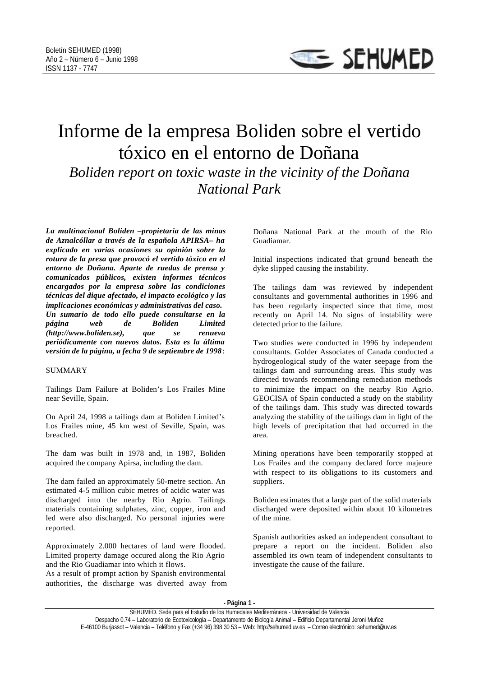## Informe de la empresa Boliden sobre el vertido tóxico en el entorno de Doñana *Boliden report on toxic waste in the vicinity of the Doñana National Park*

*La multinacional Boliden –propietaria de las minas de Aznalcóllar a través de la española APIRSA– ha explicado en varias ocasiones su opinión sobre la rotura de la presa que provocó el vertido tóxico en el entorno de Doñana. Aparte de ruedas de prensa y comunicados públicos, existen informes técnicos encargados por la empresa sobre las condiciones técnicas del dique afectado, el impacto ecológico y las implicaciones económicas y administrativas del caso. Un sumario de todo ello puede consultarse en la página web de Boliden Limited (http://www.boliden.se), que se renueva periódicamente con nuevos datos. Esta es la última versión de la página, a fecha 9 de septiembre de 1998*:

## SUMMARY

Tailings Dam Failure at Boliden's Los Frailes Mine near Seville, Spain.

On April 24, 1998 a tailings dam at Boliden Limited's Los Frailes mine, 45 km west of Seville, Spain, was breached.

The dam was built in 1978 and, in 1987, Boliden acquired the company Apirsa, including the dam.

The dam failed an approximately 50-metre section. An estimated 4-5 million cubic metres of acidic water was discharged into the nearby Rio Agrio. Tailings materials containing sulphates, zinc, copper, iron and led were also discharged. No personal injuries were reported.

Approximately 2.000 hectares of land were flooded. Limited property damage occured along the Rio Agrio and the Rio Guadiamar into which it flows.

As a result of prompt action by Spanish environmental authorities, the discharge was diverted away from Doñana National Park at the mouth of the Rio Guadiamar.

Initial inspections indicated that ground beneath the dyke slipped causing the instability.

The tailings dam was reviewed by independent consultants and governmental authorities in 1996 and has been regularly inspected since that time, most recently on April 14. No signs of instability were detected prior to the failure.

Two studies were conducted in 1996 by independent consultants. Golder Associates of Canada conducted a hydrogeological study of the water seepage from the tailings dam and surrounding areas. This study was directed towards recommending remediation methods to minimize the impact on the nearby Rio Agrio. GEOCISA of Spain conducted a study on the stability of the tailings dam. This study was directed towards analyzing the stability of the tailings dam in light of the high levels of precipitation that had occurred in the area.

Mining operations have been temporarily stopped at Los Frailes and the company declared force majeure with respect to its obligations to its customers and suppliers.

Boliden estimates that a large part of the solid materials discharged were deposited within about 10 kilometres of the mine.

Spanish authorities asked an independent consultant to prepare a report on the incident. Boliden also assembled its own team of independent consultants to investigate the cause of the failure.

**- Página 1 -**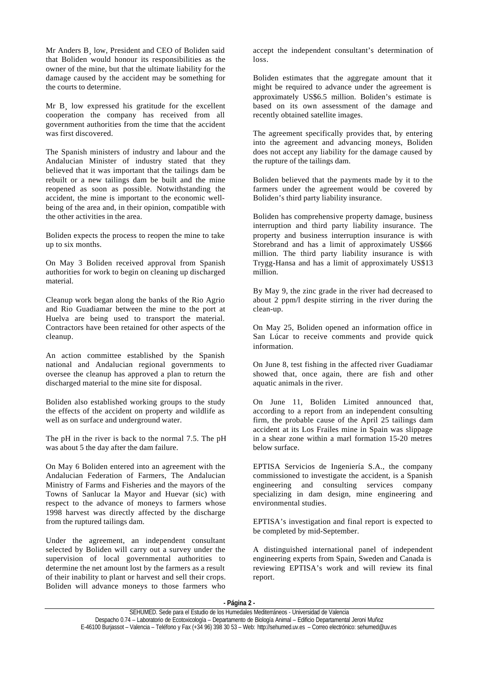Mr Anders B¸ low, President and CEO of Boliden said that Boliden would honour its responsibilities as the owner of the mine, but that the ultimate liability for the damage caused by the accident may be something for the courts to determine.

Mr B<sub>i</sub> low expressed his gratitude for the excellent cooperation the company has received from all government authorities from the time that the accident was first discovered.

The Spanish ministers of industry and labour and the Andalucian Minister of industry stated that they believed that it was important that the tailings dam be rebuilt or a new tailings dam be built and the mine reopened as soon as possible. Notwithstanding the accident, the mine is important to the economic wellbeing of the area and, in their opinion, compatible with the other activities in the area.

Boliden expects the process to reopen the mine to take up to six months.

On May 3 Boliden received approval from Spanish authorities for work to begin on cleaning up discharged material.

Cleanup work began along the banks of the Rio Agrio and Rio Guadiamar between the mine to the port at Huelva are being used to transport the material. Contractors have been retained for other aspects of the cleanup.

An action committee established by the Spanish national and Andalucian regional governments to oversee the cleanup has approved a plan to return the discharged material to the mine site for disposal.

Boliden also established working groups to the study the effects of the accident on property and wildlife as well as on surface and underground water.

The pH in the river is back to the normal 7.5. The pH was about 5 the day after the dam failure.

On May 6 Boliden entered into an agreement with the Andalucian Federation of Farmers, The Andalucian Ministry of Farms and Fisheries and the mayors of the Towns of Sanlucar la Mayor and Huevar (sic) with respect to the advance of moneys to farmers whose 1998 harvest was directly affected by the discharge from the ruptured tailings dam.

Under the agreement, an independent consultant selected by Boliden will carry out a survey under the supervision of local governmental authorities to determine the net amount lost by the farmers as a result of their inability to plant or harvest and sell their crops. Boliden will advance moneys to those farmers who

accept the independent consultant's determination of loss.

Boliden estimates that the aggregate amount that it might be required to advance under the agreement is approximately US\$6.5 million. Boliden's estimate is based on its own assessment of the damage and recently obtained satellite images.

The agreement specifically provides that, by entering into the agreement and advancing moneys, Boliden does not accept any liability for the damage caused by the rupture of the tailings dam.

Boliden believed that the payments made by it to the farmers under the agreement would be covered by Boliden's third party liability insurance.

Boliden has comprehensive property damage, business interruption and third party liability insurance. The property and business interruption insurance is with Storebrand and has a limit of approximately US\$66 million. The third party liability insurance is with Trygg-Hansa and has a limit of approximately US\$13 million.

By May 9, the zinc grade in the river had decreased to about 2 ppm/l despite stirring in the river during the clean-up.

On May 25, Boliden opened an information office in San Lúcar to receive comments and provide quick information.

On June 8, test fishing in the affected river Guadiamar showed that, once again, there are fish and other aquatic animals in the river.

On June 11, Boliden Limited announced that, according to a report from an independent consulting firm, the probable cause of the April 25 tailings dam accident at its Los Frailes mine in Spain was slippage in a shear zone within a marl formation 15-20 metres below surface.

EPTISA Servicios de Ingeniería S.A., the company commissioned to investigate the accident, is a Spanish engineering and consulting services company specializing in dam design, mine engineering and environmental studies.

EPTISA's investigation and final report is expected to be completed by mid-September.

A distinguished international panel of independent engineering experts from Spain, Sweden and Canada is reviewing EPTISA's work and will review its final report.

**- Página 2 -**